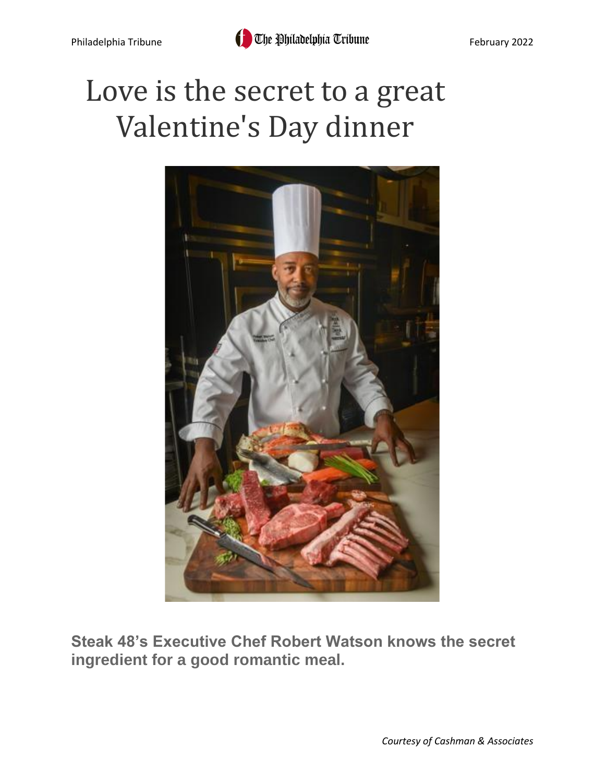# Love is the secret to a great Valentine's Day dinner



**Steak 48's Executive Chef Robert Watson knows the secret ingredient for a good romantic meal.**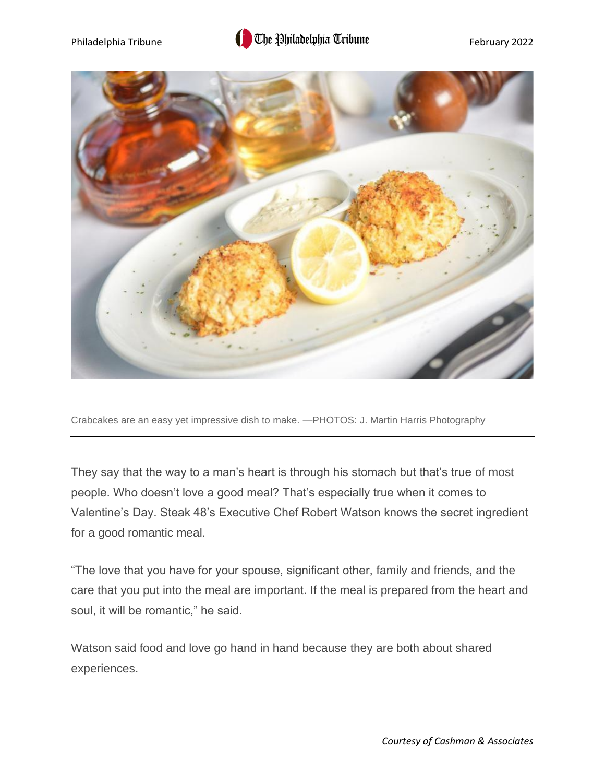# Philadelphia Tribune **Filter and Constructed Applicatelphia Tribune** February 2022



Crabcakes are an easy yet impressive dish to make. —PHOTOS: J. Martin Harris Photography

They say that the way to a man's heart is through his stomach but that's true of most people. Who doesn't love a good meal? That's especially true when it comes to Valentine's Day. Steak 48's Executive Chef Robert Watson knows the secret ingredient for a good romantic meal.

"The love that you have for your spouse, significant other, family and friends, and the care that you put into the meal are important. If the meal is prepared from the heart and soul, it will be romantic," he said.

Watson said food and love go hand in hand because they are both about shared experiences.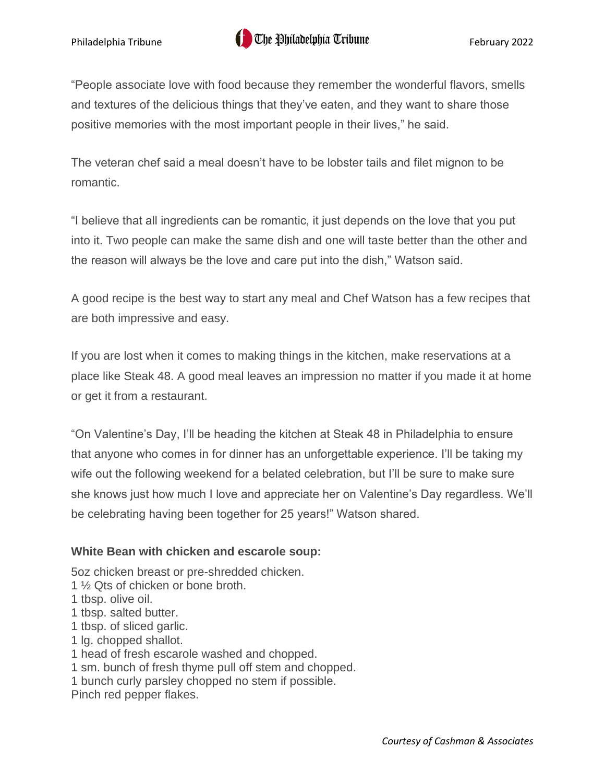"People associate love with food because they remember the wonderful flavors, smells and textures of the delicious things that they've eaten, and they want to share those positive memories with the most important people in their lives," he said.

The veteran chef said a meal doesn't have to be lobster tails and filet mignon to be romantic.

"I believe that all ingredients can be romantic, it just depends on the love that you put into it. Two people can make the same dish and one will taste better than the other and the reason will always be the love and care put into the dish," Watson said.

A good recipe is the best way to start any meal and Chef Watson has a few recipes that are both impressive and easy.

If you are lost when it comes to making things in the kitchen, make reservations at a place like Steak 48. A good meal leaves an impression no matter if you made it at home or get it from a restaurant.

"On Valentine's Day, I'll be heading the kitchen at Steak 48 in Philadelphia to ensure that anyone who comes in for dinner has an unforgettable experience. I'll be taking my wife out the following weekend for a belated celebration, but I'll be sure to make sure she knows just how much I love and appreciate her on Valentine's Day regardless. We'll be celebrating having been together for 25 years!" Watson shared.

## **White Bean with chicken and escarole soup:**

5oz chicken breast or pre-shredded chicken.

- 1 ½ Qts of chicken or bone broth.
- 1 tbsp. olive oil.
- 1 tbsp. salted butter.
- 1 tbsp. of sliced garlic.
- 1 lg. chopped shallot.
- 1 head of fresh escarole washed and chopped.
- 1 sm. bunch of fresh thyme pull off stem and chopped.
- 1 bunch curly parsley chopped no stem if possible.
- Pinch red pepper flakes.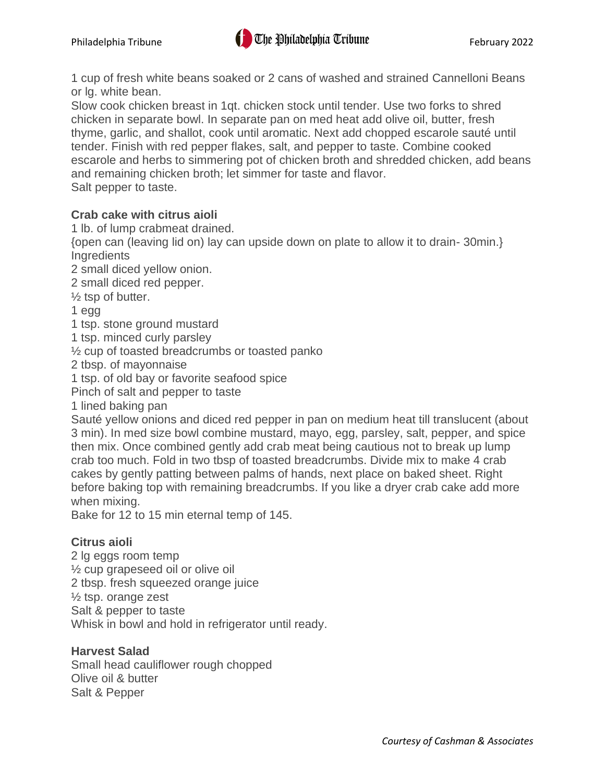1 cup of fresh white beans soaked or 2 cans of washed and strained Cannelloni Beans or lg. white bean.

Slow cook chicken breast in 1qt. chicken stock until tender. Use two forks to shred chicken in separate bowl. In separate pan on med heat add olive oil, butter, fresh thyme, garlic, and shallot, cook until aromatic. Next add chopped escarole sauté until tender. Finish with red pepper flakes, salt, and pepper to taste. Combine cooked escarole and herbs to simmering pot of chicken broth and shredded chicken, add beans and remaining chicken broth; let simmer for taste and flavor. Salt pepper to taste.

# **Crab cake with citrus aioli**

1 lb. of lump crabmeat drained.

{open can (leaving lid on) lay can upside down on plate to allow it to drain- 30min.} **Ingredients** 

2 small diced yellow onion.

2 small diced red pepper.

 $\frac{1}{2}$  tsp of butter.

1 egg

1 tsp. stone ground mustard

1 tsp. minced curly parsley

½ cup of toasted breadcrumbs or toasted panko

2 tbsp. of mayonnaise

1 tsp. of old bay or favorite seafood spice

Pinch of salt and pepper to taste

1 lined baking pan

Sauté yellow onions and diced red pepper in pan on medium heat till translucent (about 3 min). In med size bowl combine mustard, mayo, egg, parsley, salt, pepper, and spice then mix. Once combined gently add crab meat being cautious not to break up lump crab too much. Fold in two tbsp of toasted breadcrumbs. Divide mix to make 4 crab cakes by gently patting between palms of hands, next place on baked sheet. Right before baking top with remaining breadcrumbs. If you like a dryer crab cake add more when mixing.

Bake for 12 to 15 min eternal temp of 145.

## **Citrus aioli**

2 lg eggs room temp ½ cup grapeseed oil or olive oil 2 tbsp. fresh squeezed orange juice  $\frac{1}{2}$  tsp. orange zest Salt & pepper to taste Whisk in bowl and hold in refrigerator until ready.

## **Harvest Salad**

Small head cauliflower rough chopped Olive oil & butter Salt & Pepper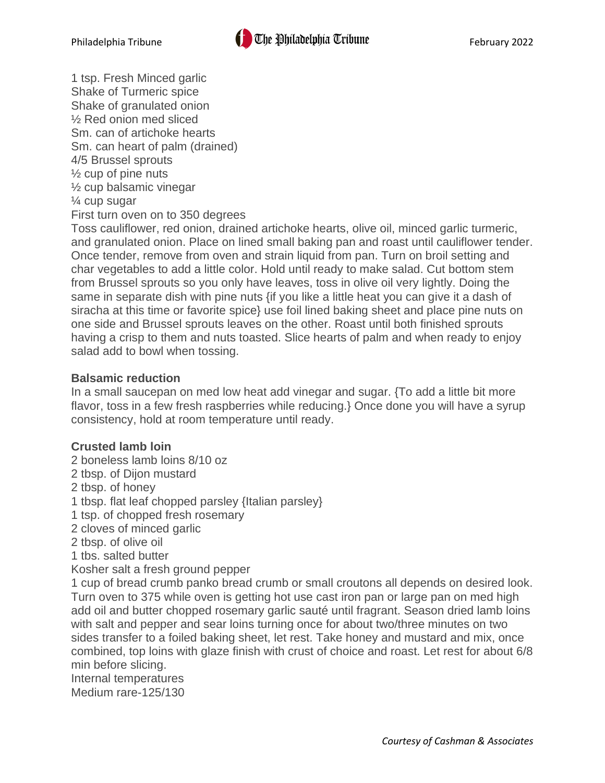1 tsp. Fresh Minced garlic Shake of Turmeric spice Shake of granulated onion ½ Red onion med sliced Sm. can of artichoke hearts Sm. can heart of palm (drained) 4/5 Brussel sprouts  $\frac{1}{2}$  cup of pine nuts ½ cup balsamic vinegar ¼ cup sugar First turn oven on to 350 degrees

Toss cauliflower, red onion, drained artichoke hearts, olive oil, minced garlic turmeric, and granulated onion. Place on lined small baking pan and roast until cauliflower tender. Once tender, remove from oven and strain liquid from pan. Turn on broil setting and char vegetables to add a little color. Hold until ready to make salad. Cut bottom stem from Brussel sprouts so you only have leaves, toss in olive oil very lightly. Doing the same in separate dish with pine nuts {if you like a little heat you can give it a dash of siracha at this time or favorite spice} use foil lined baking sheet and place pine nuts on one side and Brussel sprouts leaves on the other. Roast until both finished sprouts having a crisp to them and nuts toasted. Slice hearts of palm and when ready to enjoy salad add to bowl when tossing.

# **Balsamic reduction**

In a small saucepan on med low heat add vinegar and sugar. {To add a little bit more flavor, toss in a few fresh raspberries while reducing.} Once done you will have a syrup consistency, hold at room temperature until ready.

# **Crusted lamb loin**

- 2 boneless lamb loins 8/10 oz
- 2 tbsp. of Dijon mustard
- 2 tbsp. of honey
- 1 tbsp. flat leaf chopped parsley {Italian parsley}
- 1 tsp. of chopped fresh rosemary
- 2 cloves of minced garlic
- 2 tbsp. of olive oil
- 1 tbs. salted butter
- Kosher salt a fresh ground pepper

1 cup of bread crumb panko bread crumb or small croutons all depends on desired look. Turn oven to 375 while oven is getting hot use cast iron pan or large pan on med high add oil and butter chopped rosemary garlic sauté until fragrant. Season dried lamb loins with salt and pepper and sear loins turning once for about two/three minutes on two sides transfer to a foiled baking sheet, let rest. Take honey and mustard and mix, once combined, top loins with glaze finish with crust of choice and roast. Let rest for about 6/8 min before slicing.

Internal temperatures Medium rare-125/130